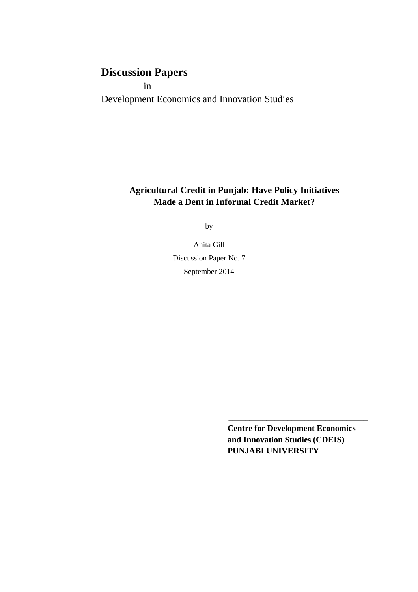# **Discussion Papers**

 in Development Economics and Innovation Studies

# **Agricultural Credit in Punjab: Have Policy Initiatives Made a Dent in Informal Credit Market?**

by

Anita Gill Discussion Paper No. 7 September 2014

> **Centre for Development Economics and Innovation Studies (CDEIS) PUNJABI UNIVERSITY**

**\_\_\_\_\_\_\_\_\_\_\_\_\_\_\_\_\_\_\_\_\_\_\_\_\_\_\_\_\_\_\_\_\_**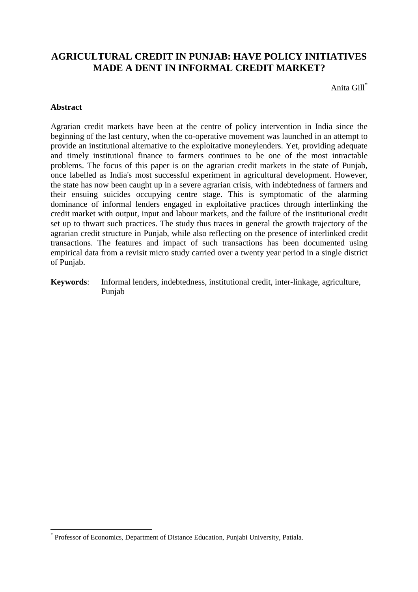# **AGRICULTURAL CREDIT IN PUNJAB: HAVE POLICY INITIATIVES MADE A DENT IN INFORMAL CREDIT MARKET?**

Anita Gill\*

#### **Abstract**

 $\overline{a}$ 

Agrarian credit markets have been at the centre of policy intervention in India since the beginning of the last century, when the co-operative movement was launched in an attempt to provide an institutional alternative to the exploitative moneylenders. Yet, providing adequate and timely institutional finance to farmers continues to be one of the most intractable problems. The focus of this paper is on the agrarian credit markets in the state of Punjab, once labelled as India's most successful experiment in agricultural development. However, the state has now been caught up in a severe agrarian crisis, with indebtedness of farmers and their ensuing suicides occupying centre stage. This is symptomatic of the alarming dominance of informal lenders engaged in exploitative practices through interlinking the credit market with output, input and labour markets, and the failure of the institutional credit set up to thwart such practices. The study thus traces in general the growth trajectory of the agrarian credit structure in Punjab, while also reflecting on the presence of interlinked credit transactions. The features and impact of such transactions has been documented using empirical data from a revisit micro study carried over a twenty year period in a single district of Punjab.

**Keywords**: Informal lenders, indebtedness, institutional credit, inter-linkage, agriculture, Punjab

<sup>\*</sup> Professor of Economics, Department of Distance Education, Punjabi University, Patiala.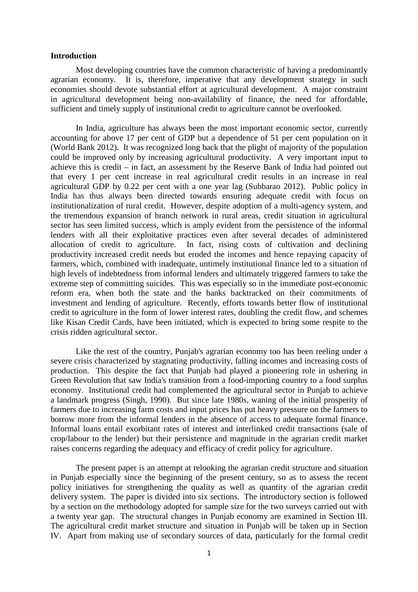#### **Introduction**

 Most developing countries have the common characteristic of having a predominantly agrarian economy. It is, therefore, imperative that any development strategy in such economies should devote substantial effort at agricultural development. A major constraint in agricultural development being non-availability of finance, the need for affordable, sufficient and timely supply of institutional credit to agriculture cannot be overlooked.

 In India, agriculture has always been the most important economic sector, currently accounting for above 17 per cent of GDP but a dependence of 51 per cent population on it (World Bank 2012). It was recognized long back that the plight of majority of the population could be improved only by increasing agricultural productivity. A very important input to achieve this is credit – in fact, an assessment by the Reserve Bank of India had pointed out that every 1 per cent increase in real agricultural credit results in an increase in real agricultural GDP by 0.22 per cent with a one year lag (Subbarao 2012). Public policy in India has thus always been directed towards ensuring adequate credit with focus on institutionalization of rural credit. However, despite adoption of a multi-agency system, and the tremendous expansion of branch network in rural areas, credit situation in agricultural sector has seen limited success, which is amply evident from the persistence of the informal lenders with all their exploitative practices even after several decades of administered allocation of credit to agriculture. In fact, rising costs of cultivation and declining productivity increased credit needs but eroded the incomes and hence repaying capacity of farmers, which, combined with inadequate, untimely institutional finance led to a situation of high levels of indebtedness from informal lenders and ultimately triggered farmers to take the extreme step of committing suicides. This was especially so in the immediate post-economic reform era, when both the state and the banks backtracked on their commitments of investment and lending of agriculture. Recently, efforts towards better flow of institutional credit to agriculture in the form of lower interest rates, doubling the credit flow, and schemes like Kisan Credit Cards, have been initiated, which is expected to bring some respite to the crisis ridden agricultural sector.

 Like the rest of the country, Punjab's agrarian economy too has been reeling under a severe crisis characterized by stagnating productivity, falling incomes and increasing costs of production. This despite the fact that Punjab had played a pioneering role in ushering in Green Revolution that saw India's transition from a food-importing country to a food surplus economy. Institutional credit had complemented the agricultural sector in Punjab to achieve a landmark progress (Singh, 1990). But since late 1980s, waning of the initial prosperity of farmers due to increasing farm costs and input prices has put heavy pressure on the farmers to borrow more from the informal lenders in the absence of access to adequate formal finance. Informal loans entail exorbitant rates of interest and interlinked credit transactions (sale of crop/labour to the lender) but their persistence and magnitude in the agrarian credit market raises concerns regarding the adequacy and efficacy of credit policy for agriculture.

 The present paper is an attempt at relooking the agrarian credit structure and situation in Punjab especially since the beginning of the present century, so as to assess the recent policy initiatives for strengthening the quality as well as quantity of the agrarian credit delivery system. The paper is divided into six sections. The introductory section is followed by a section on the methodology adopted for sample size for the two surveys carried out with a twenty year gap. The structural changes in Punjab economy are examined in Section III. The agricultural credit market structure and situation in Punjab will be taken up in Section IV. Apart from making use of secondary sources of data, particularly for the formal credit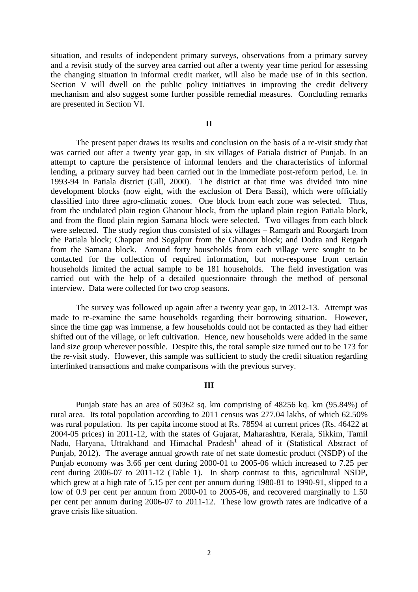situation, and results of independent primary surveys, observations from a primary survey and a revisit study of the survey area carried out after a twenty year time period for assessing the changing situation in informal credit market, will also be made use of in this section. Section V will dwell on the public policy initiatives in improving the credit delivery mechanism and also suggest some further possible remedial measures. Concluding remarks are presented in Section VI.

#### **II**

 The present paper draws its results and conclusion on the basis of a re-visit study that was carried out after a twenty year gap, in six villages of Patiala district of Punjab. In an attempt to capture the persistence of informal lenders and the characteristics of informal lending, a primary survey had been carried out in the immediate post-reform period, i.e. in 1993-94 in Patiala district (Gill, 2000). The district at that time was divided into nine development blocks (now eight, with the exclusion of Dera Bassi), which were officially classified into three agro-climatic zones. One block from each zone was selected. Thus, from the undulated plain region Ghanour block, from the upland plain region Patiala block, and from the flood plain region Samana block were selected. Two villages from each block were selected. The study region thus consisted of six villages – Ramgarh and Roorgarh from the Patiala block; Chappar and Sogalpur from the Ghanour block; and Dodra and Retgarh from the Samana block. Around forty households from each village were sought to be contacted for the collection of required information, but non-response from certain households limited the actual sample to be 181 households. The field investigation was carried out with the help of a detailed questionnaire through the method of personal interview. Data were collected for two crop seasons.

 The survey was followed up again after a twenty year gap, in 2012-13. Attempt was made to re-examine the same households regarding their borrowing situation. However, since the time gap was immense, a few households could not be contacted as they had either shifted out of the village, or left cultivation. Hence, new households were added in the same land size group wherever possible. Despite this, the total sample size turned out to be 173 for the re-visit study. However, this sample was sufficient to study the credit situation regarding interlinked transactions and make comparisons with the previous survey.

#### **III**

 Punjab state has an area of 50362 sq. km comprising of 48256 kq. km (95.84%) of rural area. Its total population according to 2011 census was 277.04 lakhs, of which 62.50% was rural population. Its per capita income stood at Rs. 78594 at current prices (Rs. 46422 at 2004-05 prices) in 2011-12, with the states of Gujarat, Maharashtra, Kerala, Sikkim, Tamil Nadu, Haryana, Uttrakhand and Himachal Pradesh<sup>1</sup> ahead of it (Statistical Abstract of Punjab, 2012). The average annual growth rate of net state domestic product (NSDP) of the Punjab economy was 3.66 per cent during 2000-01 to 2005-06 which increased to 7.25 per cent during 2006-07 to 2011-12 (Table 1). In sharp contrast to this, agricultural NSDP, which grew at a high rate of 5.15 per cent per annum during 1980-81 to 1990-91, slipped to a low of 0.9 per cent per annum from 2000-01 to 2005-06, and recovered marginally to 1.50 per cent per annum during 2006-07 to 2011-12. These low growth rates are indicative of a grave crisis like situation.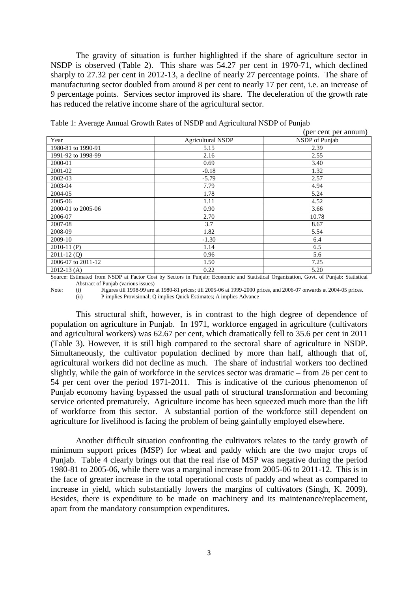The gravity of situation is further highlighted if the share of agriculture sector in NSDP is observed (Table 2). This share was 54.27 per cent in 1970-71, which declined sharply to 27.32 per cent in 2012-13, a decline of nearly 27 percentage points. The share of manufacturing sector doubled from around 8 per cent to nearly 17 per cent, i.e. an increase of 9 percentage points. Services sector improved its share. The deceleration of the growth rate has reduced the relative income share of the agricultural sector.

| Table 1: Average Annual Growth Rates of NSDP and Agricultural NSDP of Punjab |  |  |
|------------------------------------------------------------------------------|--|--|
|                                                                              |  |  |

|                    |                          | (per cent per annum) |
|--------------------|--------------------------|----------------------|
| Year               | <b>Agricultural NSDP</b> | NSDP of Punjab       |
| 1980-81 to 1990-91 | 5.15                     | 2.39                 |
| 1991-92 to 1998-99 | 2.16                     | 2.55                 |
| 2000-01            | 0.69                     | 3.40                 |
| 2001-02            | $-0.18$                  | 1.32                 |
| 2002-03            | $-5.79$                  | 2.57                 |
| 2003-04            | 7.79                     | 4.94                 |
| 2004-05            | 1.78                     | 5.24                 |
| 2005-06            | 1.11                     | 4.52                 |
| 2000-01 to 2005-06 | 0.90                     | 3.66                 |
| 2006-07            | 2.70                     | 10.78                |
| 2007-08            | 3.7                      | 8.67                 |
| 2008-09            | 1.82                     | 5.54                 |
| 2009-10            | $-1.30$                  | 6.4                  |
| $2010-11$ (P)      | 1.14                     | 6.5                  |
| $2011-12$ (Q)      | 0.96                     | 5.6                  |
| 2006-07 to 2011-12 | 1.50                     | 7.25                 |
| $2012-13(A)$       | 0.22                     | 5.20                 |

Source: Estimated from NSDP at Factor Cost by Sectors in Punjab; Economic and Statistical Organization, Govt. of Punjab: Statistical Abstract of Punjab (various issues)

Note: (i) Figures till 1998-99 are at 1980-81 prices; till 2005-06 at 1999-2000 prices, and 2006-07 onwards at 2004-05 prices.<br>(ii) Pimplies Provisional: O implies Ouick Estimates: A implies Advance

P implies Provisional; Q implies Quick Estimates; A implies Advance

This structural shift, however, is in contrast to the high degree of dependence of population on agriculture in Punjab. In 1971, workforce engaged in agriculture (cultivators and agricultural workers) was 62.67 per cent, which dramatically fell to 35.6 per cent in 2011 (Table 3). However, it is still high compared to the sectoral share of agriculture in NSDP. Simultaneously, the cultivator population declined by more than half, although that of, agricultural workers did not decline as much. The share of industrial workers too declined slightly, while the gain of workforce in the services sector was dramatic – from 26 per cent to 54 per cent over the period 1971-2011. This is indicative of the curious phenomenon of Punjab economy having bypassed the usual path of structural transformation and becoming service oriented prematurely. Agriculture income has been squeezed much more than the lift of workforce from this sector. A substantial portion of the workforce still dependent on agriculture for livelihood is facing the problem of being gainfully employed elsewhere.

Another difficult situation confronting the cultivators relates to the tardy growth of minimum support prices (MSP) for wheat and paddy which are the two major crops of Punjab. Table 4 clearly brings out that the real rise of MSP was negative during the period 1980-81 to 2005-06, while there was a marginal increase from 2005-06 to 2011-12. This is in the face of greater increase in the total operational costs of paddy and wheat as compared to increase in yield, which substantially lowers the margins of cultivators (Singh, K. 2009). Besides, there is expenditure to be made on machinery and its maintenance/replacement, apart from the mandatory consumption expenditures.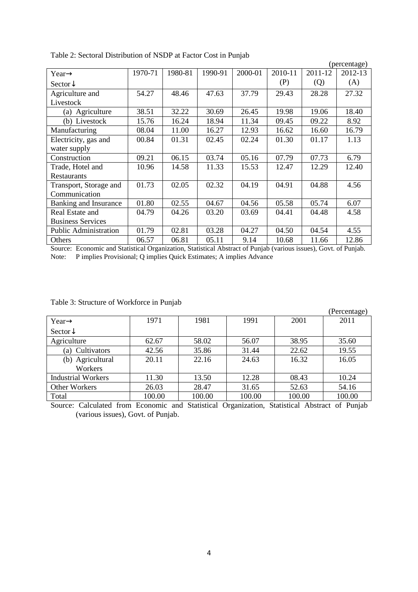|                              |         |         |         |         |         |         | (percentage) |
|------------------------------|---------|---------|---------|---------|---------|---------|--------------|
| $Year \rightarrow$           | 1970-71 | 1980-81 | 1990-91 | 2000-01 | 2010-11 | 2011-12 | 2012-13      |
| Sector $\downarrow$          |         |         |         |         | (P)     | (Q)     | (A)          |
| Agriculture and              | 54.27   | 48.46   | 47.63   | 37.79   | 29.43   | 28.28   | 27.32        |
| Livestock                    |         |         |         |         |         |         |              |
| (a) Agriculture              | 38.51   | 32.22   | 30.69   | 26.45   | 19.98   | 19.06   | 18.40        |
| (b) Livestock                | 15.76   | 16.24   | 18.94   | 11.34   | 09.45   | 09.22   | 8.92         |
| Manufacturing                | 08.04   | 11.00   | 16.27   | 12.93   | 16.62   | 16.60   | 16.79        |
| Electricity, gas and         | 00.84   | 01.31   | 02.45   | 02.24   | 01.30   | 01.17   | 1.13         |
| water supply                 |         |         |         |         |         |         |              |
| Construction                 | 09.21   | 06.15   | 03.74   | 05.16   | 07.79   | 07.73   | 6.79         |
| Trade, Hotel and             | 10.96   | 14.58   | 11.33   | 15.53   | 12.47   | 12.29   | 12.40        |
| Restaurants                  |         |         |         |         |         |         |              |
| Transport, Storage and       | 01.73   | 02.05   | 02.32   | 04.19   | 04.91   | 04.88   | 4.56         |
| Communication                |         |         |         |         |         |         |              |
| Banking and Insurance        | 01.80   | 02.55   | 04.67   | 04.56   | 05.58   | 05.74   | 6.07         |
| Real Estate and              | 04.79   | 04.26   | 03.20   | 03.69   | 04.41   | 04.48   | 4.58         |
| <b>Business Services</b>     |         |         |         |         |         |         |              |
| <b>Public Administration</b> | 01.79   | 02.81   | 03.28   | 04.27   | 04.50   | 04.54   | 4.55         |
| Others                       | 06.57   | 06.81   | 05.11   | 9.14    | 10.68   | 11.66   | 12.86        |

Table 2: Sectoral Distribution of NSDP at Factor Cost in Punjab

Source: Economic and Statistical Organization, Statistical Abstract of Punjab (various issues), Govt. of Punjab. Note: P implies Provisional; Q implies Quick Estimates; A implies Advance

|                           |        |        |        |        | (Percentage) |
|---------------------------|--------|--------|--------|--------|--------------|
| Year $\rightarrow$        | 1971   | 1981   | 1991   | 2001   | 2011         |
| Sector $\downarrow$       |        |        |        |        |              |
| Agriculture               | 62.67  | 58.02  | 56.07  | 38.95  | 35.60        |
| (a) Cultivators           | 42.56  | 35.86  | 31.44  | 22.62  | 19.55        |
| (b) Agricultural          | 20.11  | 22.16  | 24.63  | 16.32  | 16.05        |
| Workers                   |        |        |        |        |              |
| <b>Industrial Workers</b> | 11.30  | 13.50  | 12.28  | 08.43  | 10.24        |
| <b>Other Workers</b>      | 26.03  | 28.47  | 31.65  | 52.63  | 54.16        |
| Total                     | 100.00 | 100.00 | 100.00 | 100.00 | 100.00       |

### Table 3: Structure of Workforce in Punjab

Source: Calculated from Economic and Statistical Organization, Statistical Abstract of Punjab (various issues), Govt. of Punjab.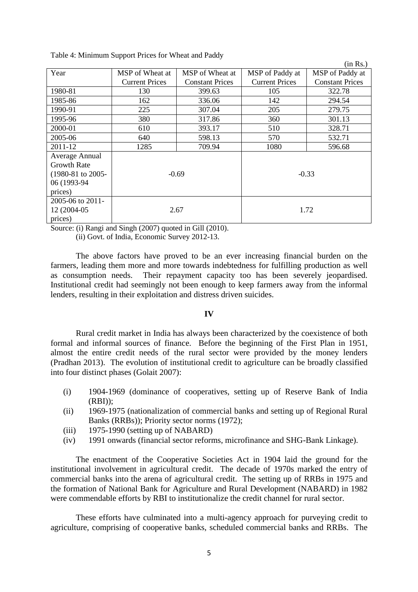| Year               | MSP of Wheat at       | MSP of Wheat at        | MSP of Paddy at       | MSP of Paddy at        |
|--------------------|-----------------------|------------------------|-----------------------|------------------------|
|                    | <b>Current Prices</b> | <b>Constant Prices</b> | <b>Current Prices</b> | <b>Constant Prices</b> |
| 1980-81            | 130                   | 399.63                 | 105                   | 322.78                 |
| 1985-86            | 162                   | 336.06                 | 142                   | 294.54                 |
| 1990-91            | 225                   | 307.04                 | 205                   | 279.75                 |
| 1995-96            | 380                   | 317.86                 | 360                   | 301.13                 |
| 2000-01            | 610                   | 393.17                 | 510                   | 328.71                 |
| 2005-06            | 640                   | 598.13                 | 570                   | 532.71                 |
| 2011-12            | 1285                  | 709.94                 | 1080                  | 596.68                 |
| Average Annual     |                       |                        |                       |                        |
| <b>Growth Rate</b> |                       |                        |                       |                        |
| (1980-81 to 2005-  | $-0.69$               |                        |                       | $-0.33$                |
| 06 (1993-94)       |                       |                        |                       |                        |
| prices)            |                       |                        |                       |                        |
| 2005-06 to 2011-   |                       |                        |                       |                        |
| 12 (2004-05)       | 2.67                  |                        |                       | 1.72                   |
| prices)            |                       |                        |                       |                        |

 $(in Rs.)$ 

Table 4: Minimum Support Prices for Wheat and Paddy

Source: (i) Rangi and Singh (2007) quoted in Gill (2010).

(ii) Govt. of India, Economic Survey 2012-13.

 The above factors have proved to be an ever increasing financial burden on the farmers, leading them more and more towards indebtedness for fulfilling production as well as consumption needs. Their repayment capacity too has been severely jeopardised. Institutional credit had seemingly not been enough to keep farmers away from the informal lenders, resulting in their exploitation and distress driven suicides.

#### **IV**

 Rural credit market in India has always been characterized by the coexistence of both formal and informal sources of finance. Before the beginning of the First Plan in 1951, almost the entire credit needs of the rural sector were provided by the money lenders (Pradhan 2013). The evolution of institutional credit to agriculture can be broadly classified into four distinct phases (Golait 2007):

- (i) 1904-1969 (dominance of cooperatives, setting up of Reserve Bank of India  $(RBI)$ :
- (ii) 1969-1975 (nationalization of commercial banks and setting up of Regional Rural Banks (RRBs)); Priority sector norms (1972);
- (iii) 1975-1990 (setting up of NABARD)
- (iv) 1991 onwards (financial sector reforms, microfinance and SHG-Bank Linkage).

The enactment of the Cooperative Societies Act in 1904 laid the ground for the institutional involvement in agricultural credit. The decade of 1970s marked the entry of commercial banks into the arena of agricultural credit. The setting up of RRBs in 1975 and the formation of National Bank for Agriculture and Rural Development (NABARD) in 1982 were commendable efforts by RBI to institutionalize the credit channel for rural sector.

These efforts have culminated into a multi-agency approach for purveying credit to agriculture, comprising of cooperative banks, scheduled commercial banks and RRBs. The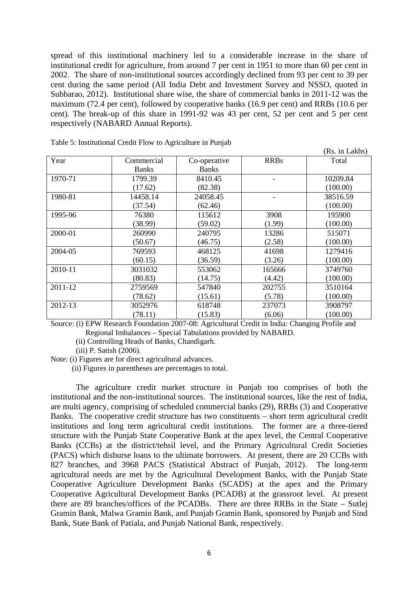spread of this institutional machinery led to a considerable increase in the share of institutional credit for agriculture, from around 7 per cent in 1951 to more than 60 per cent in 2002. The share of non-institutional sources accordingly declined from 93 per cent to 39 per cent during the same period (All India Debt and Investment Survey and NSSO, quoted in Subbarao, 2012). Institutional share wise, the share of commercial banks in 2011-12 was the maximum (72.4 per cent), followed by cooperative banks (16.9 per cent) and RRBs (10.6 per cent). The break-up of this share in 1991-92 was 43 per cent, 52 per cent and 5 per cent respectively (NABARD Annual Reports).

|         |              |              |             | (Rs. in Lakhs) |
|---------|--------------|--------------|-------------|----------------|
| Year    | Commercial   | Co-operative | <b>RRBs</b> | Total          |
|         | <b>Banks</b> | <b>Banks</b> |             |                |
| 1970-71 | 1799.39      | 8410.45      |             | 10209.84       |
|         | (17.62)      | (82.38)      |             | (100.00)       |
| 1980-81 | 14458.14     | 24058.45     |             | 38516.59       |
|         | (37.54)      | (62.46)      |             | (100.00)       |
| 1995-96 | 76380        | 115612       | 3908        | 195900         |
|         | (38.99)      | (59.02)      | (1.99)      | (100.00)       |
| 2000-01 | 260990       | 240795       | 13286       | 515071         |
|         | (50.67)      | (46.75)      | (2.58)      | (100.00)       |
| 2004-05 | 769593       | 468125       | 41698       | 1279416        |
|         | (60.15)      | (36.59)      | (3.26)      | (100.00)       |
| 2010-11 | 3031032      | 553062       | 165666      | 3749760        |
|         | (80.83)      | (14.75)      | (4.42)      | (100.00)       |
| 2011-12 | 2759569      | 547840       | 202755      | 3510164        |
|         | (78.62)      | (15.61)      | (5.78)      | (100.00)       |
| 2012-13 | 3052976      | 618748       | 237073      | 3908797        |
|         | (78.11)      | (15.83)      | (6.06)      | (100.00)       |

Table 5: Institutional Credit Flow to Agriculture in Punjab

Source: (i) EPW Research Foundation 2007-08: Agricultural Credit in India: Changing Profile and Regional Imbalances – Special Tabulations provided by NABARD.

(ii) Controlling Heads of Banks, Chandigarh.

(iii) P. Satish (2006).

Note: (i) Figures are for direct agricultural advances.

(ii) Figures in parentheses are percentages to total.

The agriculture credit market structure in Punjab too comprises of both the institutional and the non-institutional sources. The institutional sources, like the rest of India, are multi agency, comprising of scheduled commercial banks (29), RRBs (3) and Cooperative Banks. The cooperative credit structure has two constituents – short term agricultural credit institutions and long term agricultural credit institutions. The former are a three-tiered structure with the Punjab State Cooperative Bank at the apex level, the Central Cooperative Banks (CCBs) at the district/tehsil level, and the Primary Agricultural Credit Societies (PACS) which disburse loans to the ultimate borrowers. At present, there are 20 CCBs with 827 branches, and 3968 PACS (Statistical Abstract of Punjab, 2012). The long-term agricultural needs are met by the Agricultural Development Banks, with the Punjab State Cooperative Agriculture Development Banks (SCADS) at the apex and the Primary Cooperative Agricultural Development Banks (PCADB) at the grassroot level. At present there are 89 branches/offices of the PCADBs. There are three RRBs in the State – Sutlej Gramin Bank, Malwa Gramin Bank, and Punjab Gramin Bank, sponsored by Punjab and Sind Bank, State Bank of Patiala, and Punjab National Bank, respectively.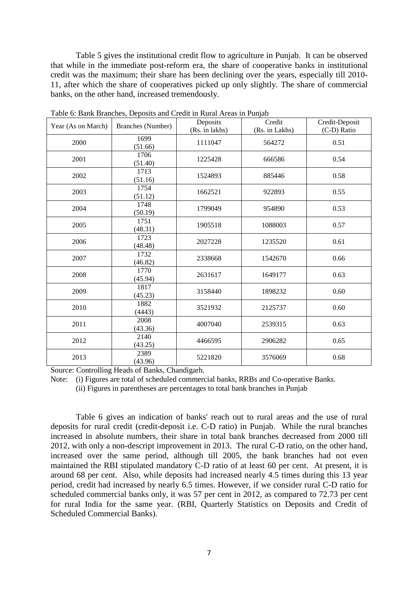Table 5 gives the institutional credit flow to agriculture in Punjab. It can be observed that while in the immediate post-reform era, the share of cooperative banks in institutional credit was the maximum; their share has been declining over the years, especially till 2010- 11, after which the share of cooperatives picked up only slightly. The share of commercial banks, on the other hand, increased tremendously.

| Year (As on March) | <b>Branches</b> (Number) | Deposits<br>(Rs. in lakhs) | Credit<br>(Rs. in Lakhs) | Credit-Deposit<br>(C-D) Ratio |
|--------------------|--------------------------|----------------------------|--------------------------|-------------------------------|
| 2000               | 1699<br>(51.66)          | 1111047                    | 564272                   | 0.51                          |
| 2001               | 1706<br>(51.40)          | 1225428                    | 666586                   | 0.54                          |
| 2002               | 1713<br>(51.16)          | 1524893                    | 885446                   | 0.58                          |
| 2003               | 1754<br>(51.12)          | 1662521                    | 922893                   | 0.55                          |
| 2004               | 1748<br>(50.19)          | 1799049                    | 954890                   | 0.53                          |
| 2005               | 1751<br>(48.31)          | 1905518                    | 1088003                  | 0.57                          |
| 2006               | 1723<br>(48.48)          | 2027228                    | 1235520                  | 0.61                          |
| 2007               | 1732<br>(46.82)          | 2338668                    | 1542670                  | 0.66                          |
| 2008               | 1770<br>(45.94)          | 2631617                    | 1649177                  | 0.63                          |
| 2009               | 1817<br>(45.23)          | 3158440                    | 1898232                  | 0.60                          |
| 2010               | 1882<br>(4443)           | 3521932                    | 2125737                  | 0.60                          |
| 2011               | 2008<br>(43.36)          | 4007040                    | 2539315                  | 0.63                          |
| 2012               | 2140<br>(43.25)          | 4466595                    | 2906282                  | 0.65                          |
| 2013               | 2389<br>(43.96)          | 5221820                    | 3576069                  | 0.68                          |

Table 6: Bank Branches, Deposits and Credit in Rural Areas in Punjab

Source: Controlling Heads of Banks, Chandigarh.

Note: (i) Figures are total of scheduled commercial banks, RRBs and Co-operative Banks.

(ii) Figures in parentheses are percentages to total bank branches in Punjab

 Table 6 gives an indication of banks' reach out to rural areas and the use of rural deposits for rural credit (credit-deposit i.e. C-D ratio) in Punjab. While the rural branches increased in absolute numbers, their share in total bank branches decreased from 2000 till 2012, with only a non-descript improvement in 2013. The rural C-D ratio, on the other hand, increased over the same period, although till 2005, the bank branches had not even maintained the RBI stipulated mandatory C-D ratio of at least 60 per cent. At present, it is around 68 per cent. Also, while deposits had increased nearly 4.5 times during this 13 year period, credit had increased by nearly 6.5 times. However, if we consider rural C-D ratio for scheduled commercial banks only, it was 57 per cent in 2012, as compared to 72.73 per cent for rural India for the same year. (RBI, Quarterly Statistics on Deposits and Credit of Scheduled Commercial Banks).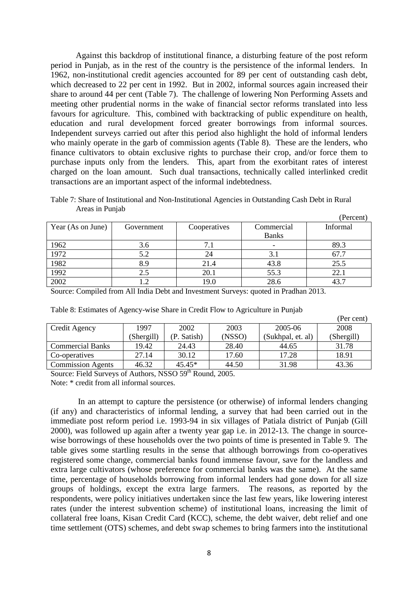Against this backdrop of institutional finance, a disturbing feature of the post reform period in Punjab, as in the rest of the country is the persistence of the informal lenders. In 1962, non-institutional credit agencies accounted for 89 per cent of outstanding cash debt, which decreased to 22 per cent in 1992. But in 2002, informal sources again increased their share to around 44 per cent (Table 7). The challenge of lowering Non Performing Assets and meeting other prudential norms in the wake of financial sector reforms translated into less favours for agriculture. This, combined with backtracking of public expenditure on health, education and rural development forced greater borrowings from informal sources. Independent surveys carried out after this period also highlight the hold of informal lenders who mainly operate in the garb of commission agents (Table 8). These are the lenders, who finance cultivators to obtain exclusive rights to purchase their crop, and/or force them to purchase inputs only from the lenders. This, apart from the exorbitant rates of interest charged on the loan amount. Such dual transactions, technically called interlinked credit transactions are an important aspect of the informal indebtedness.

Table 7: Share of Institutional and Non-Institutional Agencies in Outstanding Cash Debt in Rural Areas in Punjab  $(D_{\text{energy}})$ 

|                   |            |              |                          | $r$ cicciit $r$ |
|-------------------|------------|--------------|--------------------------|-----------------|
| Year (As on June) | Government | Cooperatives | Commercial               | Informal        |
|                   |            |              | <b>Banks</b>             |                 |
| 1962              | 3.6        |              | $\overline{\phantom{0}}$ | 89.3            |
| 1972              | 5.2        | 24           |                          | 67.7            |
| 1982              | 8.9        | 21.4         | 43.8                     | 25.5            |
| 1992              | 2.5        | 20.1         | 55.3                     | 22.1            |
| 2002              |            | 19.0         | 28.6                     |                 |

Source: Compiled from All India Debt and Investment Surveys: quoted in Pradhan 2013.

|                         |            |             |        |                   | (Per cent) |
|-------------------------|------------|-------------|--------|-------------------|------------|
| Credit Agency           | 1997       | 2002        | 2003   | 2005-06           | 2008       |
|                         | (Shergill) | (P. Satish) | (NSSO) | (Sukhpal, et. al) | (Shergill) |
| <b>Commercial Banks</b> | 19.42      | 24.43       | 28.40  | 44.65             | 31.78      |
| Co-operatives           | 27.14      | 30.12       | 17.60  | 17.28             | 18.91      |

Commission Agents | 46.32 | 45.45<sup>\*</sup> | 44.50 | 31.98 | 43.36

Table 8: Estimates of Agency-wise Share in Credit Flow to Agriculture in Punjab

Source: Field Surveys of Authors, NSSO 59<sup>th</sup> Round, 2005. Note: \* credit from all informal sources.

 In an attempt to capture the persistence (or otherwise) of informal lenders changing (if any) and characteristics of informal lending, a survey that had been carried out in the immediate post reform period i.e. 1993-94 in six villages of Patiala district of Punjab (Gill 2000), was followed up again after a twenty year gap i.e. in 2012-13. The change in sourcewise borrowings of these households over the two points of time is presented in Table 9. The table gives some startling results in the sense that although borrowings from co-operatives registered some change, commercial banks found immense favour, save for the landless and extra large cultivators (whose preference for commercial banks was the same). At the same time, percentage of households borrowing from informal lenders had gone down for all size groups of holdings, except the extra large farmers. The reasons, as reported by the respondents, were policy initiatives undertaken since the last few years, like lowering interest rates (under the interest subvention scheme) of institutional loans, increasing the limit of collateral free loans, Kisan Credit Card (KCC), scheme, the debt waiver, debt relief and one time settlement (OTS) schemes, and debt swap schemes to bring farmers into the institutional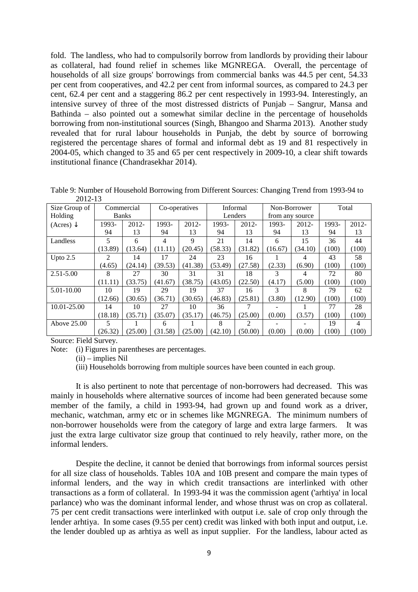fold. The landless, who had to compulsorily borrow from landlords by providing their labour as collateral, had found relief in schemes like MGNREGA. Overall, the percentage of households of all size groups' borrowings from commercial banks was 44.5 per cent, 54.33 per cent from cooperatives, and 42.2 per cent from informal sources, as compared to 24.3 per cent, 62.4 per cent and a staggering 86.2 per cent respectively in 1993-94. Interestingly, an intensive survey of three of the most distressed districts of Punjab – Sangrur, Mansa and Bathinda – also pointed out a somewhat similar decline in the percentage of households borrowing from non-institutional sources (Singh, Bhangoo and Sharma 2013). Another study revealed that for rural labour households in Punjab, the debt by source of borrowing registered the percentage shares of formal and informal debt as 19 and 81 respectively in 2004-05, which changed to 35 and 65 per cent respectively in 2009-10, a clear shift towards institutional finance (Chandrasekhar 2014).

| Size Group of        |         | Commercial   |         | Co-operatives | Informal |                | Non-Borrower |                 | Total |                |
|----------------------|---------|--------------|---------|---------------|----------|----------------|--------------|-----------------|-------|----------------|
| Holding              |         | <b>Banks</b> |         |               |          | Lenders        |              | from any source |       |                |
| $(Acres) \downarrow$ | 1993-   | 2012-        | 1993-   | 2012-         | 1993-    | 2012-          | 1993-        | 2012-           | 1993- | 2012-          |
|                      | 94      | 13           | 94      | 13            | 94       | 13             | 94           | 13              | 94    | 13             |
| Landless             | 5.      | 6            | 4       | 9             | 21       | 14             | 6            | 15              | 36    | 44             |
|                      | (13.89) | (13.64)      | (11.11) | (20.45)       | (58.33)  | (31.82)        | (16.67)      | (34.10)         | (100) | (100)          |
| Upto $2.5$           | 2       | 14           | 17      | 24            | 23       | 16             |              | 4               | 43    | 58             |
|                      | (4.65)  | (24.14)      | (39.53) | (41.38)       | (53.49)  | (27.58)        | (2.33)       | (6.90)          | (100) | (100)          |
| $2.51 - 5.00$        | 8       | 27           | 30      | 31            | 31       | 18             | 3            | 4               | 72    | 80             |
|                      | (11.11) | (33.75)      | (41.67) | (38.75)       | (43.05)  | (22.50)        | (4.17)       | (5.00)          | (100) | (100)          |
| 5.01-10.00           | 10      | 19           | 29      | 19            | 37       | 16             | 3            | 8               | 79    | 62             |
|                      | (12.66) | (30.65)      | (36.71) | (30.65)       | (46.83)  | (25.81)        | (3.80)       | (12.90)         | (100) | (100)          |
| 10.01-25.00          | 14      | 10           | 27      | 10            | 36       |                |              |                 | 77    | 28             |
|                      | (18.18) | (35.71)      | (35.07) | (35.17)       | (46.75)  | (25.00)        | (0.00)       | (3.57)          | (100) | (100)          |
| Above 25.00          | 5.      |              | 6       |               | 8        | $\mathfrak{D}$ |              |                 | 19    | $\overline{4}$ |
|                      | (26.32) | (25.00)      | (31.58) | (25.00)       | (42.10)  | (50.00)        | (0.00)       | (0.00)          | (100) | (100)          |

Table 9: Number of Household Borrowing from Different Sources: Changing Trend from 1993-94 to 2012-13

Source: Field Survey.

Note: (i) Figures in parentheses are percentages.

 $(ii)$  – implies Nil

(iii) Households borrowing from multiple sources have been counted in each group.

 It is also pertinent to note that percentage of non-borrowers had decreased. This was mainly in households where alternative sources of income had been generated because some member of the family, a child in 1993-94, had grown up and found work as a driver, mechanic, watchman, army etc or in schemes like MGNREGA. The minimum numbers of non-borrower households were from the category of large and extra large farmers. It was just the extra large cultivator size group that continued to rely heavily, rather more, on the informal lenders.

 Despite the decline, it cannot be denied that borrowings from informal sources persist for all size class of households. Tables 10A and 10B present and compare the main types of informal lenders, and the way in which credit transactions are interlinked with other transactions as a form of collateral. In 1993-94 it was the commission agent ('arhtiya' in local parlance) who was the dominant informal lender, and whose thrust was on crop as collateral. 75 per cent credit transactions were interlinked with output i.e. sale of crop only through the lender arhtiya. In some cases (9.55 per cent) credit was linked with both input and output, i.e. the lender doubled up as arhtiya as well as input supplier. For the landless, labour acted as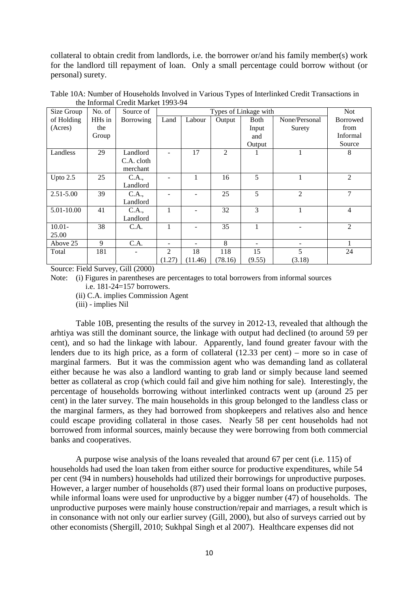collateral to obtain credit from landlords, i.e. the borrower or/and his family member(s) work for the landlord till repayment of loan. Only a small percentage could borrow without (or personal) surety.

| Size Group    | No. of             | Source of                |        |                          |                | Types of Linkage with    |                   | <b>Not</b>      |
|---------------|--------------------|--------------------------|--------|--------------------------|----------------|--------------------------|-------------------|-----------------|
| of Holding    | HH <sub>s</sub> in | Borrowing                | Land   | Labour                   | Output         | <b>B</b> oth             | None/Personal     | <b>Borrowed</b> |
| (Acres)       | the                |                          |        |                          |                | Input                    | Surety            | from            |
|               | Group              |                          |        |                          |                | and                      |                   | Informal        |
|               |                    |                          |        |                          |                | Output                   |                   | Source          |
| Landless      | 29                 | Landlord                 |        | 17                       | $\overline{2}$ | 1                        | 1                 | 8               |
|               |                    | C.A. cloth               |        |                          |                |                          |                   |                 |
|               |                    | merchant                 |        |                          |                |                          |                   |                 |
| Upto 2.5      | 25                 | C.A.,                    |        |                          | 16             | 5                        |                   | $\overline{2}$  |
|               |                    | Landlord                 |        |                          |                |                          |                   |                 |
| $2.51 - 5.00$ | 39                 | C.A.,                    |        |                          | 25             | 5                        | $\overline{2}$    | $\overline{7}$  |
|               |                    | Landlord                 |        |                          |                |                          |                   |                 |
| 5.01-10.00    | 41                 | C.A.,                    | 1      |                          | 32             | 3                        | 1                 | $\overline{4}$  |
|               |                    | Landlord                 |        |                          |                |                          |                   |                 |
| $10.01 -$     | 38                 | C.A.                     | 1      | $\overline{\phantom{a}}$ | 35             | 1                        |                   | $\overline{2}$  |
| 25.00         |                    |                          |        |                          |                |                          |                   |                 |
| Above 25      | 9                  | C.A.                     | -      | $\overline{\phantom{a}}$ | 8              | $\overline{\phantom{a}}$ | $\qquad \qquad -$ | 1               |
| Total         | 181                | $\overline{\phantom{a}}$ | 2      | 18                       | 118            | 15                       | 5                 | 24              |
|               |                    |                          | (1.27) | (11.46)                  | (78.16)        | (9.55)                   | (3.18)            |                 |

Table 10A: Number of Households Involved in Various Types of Interlinked Credit Transactions in the Informal Credit Market 1993-94

Source: Field Survey, Gill (2000)

Note: (i) Figures in parentheses are percentages to total borrowers from informal sources

i.e. 181-24=157 borrowers.

(ii) C.A. implies Commission Agent

(iii) - implies Nil

 Table 10B, presenting the results of the survey in 2012-13, revealed that although the arhtiya was still the dominant source, the linkage with output had declined (to around 59 per cent), and so had the linkage with labour. Apparently, land found greater favour with the lenders due to its high price, as a form of collateral (12.33 per cent) – more so in case of marginal farmers. But it was the commission agent who was demanding land as collateral either because he was also a landlord wanting to grab land or simply because land seemed better as collateral as crop (which could fail and give him nothing for sale). Interestingly, the percentage of households borrowing without interlinked contracts went up (around 25 per cent) in the later survey. The main households in this group belonged to the landless class or the marginal farmers, as they had borrowed from shopkeepers and relatives also and hence could escape providing collateral in those cases. Nearly 58 per cent households had not borrowed from informal sources, mainly because they were borrowing from both commercial banks and cooperatives.

A purpose wise analysis of the loans revealed that around 67 per cent (i.e. 115) of households had used the loan taken from either source for productive expenditures, while 54 per cent (94 in numbers) households had utilized their borrowings for unproductive purposes. However, a larger number of households (87) used their formal loans on productive purposes, while informal loans were used for unproductive by a bigger number (47) of households. The unproductive purposes were mainly house construction/repair and marriages, a result which is in consonance with not only our earlier survey (Gill, 2000), but also of surveys carried out by other economists (Shergill, 2010; Sukhpal Singh et al 2007). Healthcare expenses did not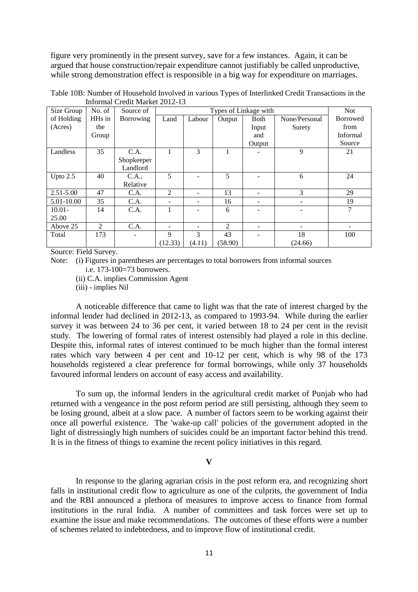figure very prominently in the present survey, save for a few instances. Again, it can be argued that house construction/repair expenditure cannot justifiably be called unproductive, while strong demonstration effect is responsible in a big way for expenditure on marriages.

| $\mu$ and $\mu$ and $\mu$ and $\mu$ and $\mu$ and $\mu$ and $\mu$ |                    |                  |         |        |         |                       |               |                 |  |
|-------------------------------------------------------------------|--------------------|------------------|---------|--------|---------|-----------------------|---------------|-----------------|--|
| Size Group                                                        | No. of             | Source of        |         |        |         | Types of Linkage with |               | <b>Not</b>      |  |
| of Holding                                                        | HH <sub>s</sub> in | <b>Borrowing</b> | Land    | Labour | Output  | <b>Both</b>           | None/Personal | <b>Borrowed</b> |  |
| (Acres)                                                           | the                |                  |         |        |         | Input                 | Surety        | from            |  |
|                                                                   | Group              |                  |         |        |         | and                   |               | Informal        |  |
|                                                                   |                    |                  |         |        |         | Output                |               | Source          |  |
| Landless                                                          | 35                 | C.A.             | 1       | 3      |         |                       | 9             | 21              |  |
|                                                                   |                    | Shopkeeper       |         |        |         |                       |               |                 |  |
|                                                                   |                    | Landlord         |         |        |         |                       |               |                 |  |
| Upto $2.5$                                                        | 40                 | C.A.,            | 5       |        | 5       |                       | 6             | 24              |  |
|                                                                   |                    | Relative         |         |        |         |                       |               |                 |  |
| $2.51 - 5.00$                                                     | 47                 | C.A.             | 2       |        | 13      |                       | 3             | 29              |  |
| 5.01-10.00                                                        | 35                 | C.A.             | -       |        | 16      |                       |               | 19              |  |
| $10.01 -$                                                         | 14                 | C.A.             | 1       |        | 6       |                       |               | 7               |  |
| 25.00                                                             |                    |                  |         |        |         |                       |               |                 |  |
| Above 25                                                          | $\overline{2}$     | C.A.             |         |        | 2       |                       |               |                 |  |
| Total                                                             | 173                |                  | 9       | 3      | 43      |                       | 18            | 100             |  |
|                                                                   |                    |                  | (12.33) | (4.11) | (58.90) |                       | (24.66)       |                 |  |

Table 10B: Number of Household Involved in various Types of Interlinked Credit Transactions in the Informal Credit Market 2012-13

Source: Field Survey.

Note: (i) Figures in parentheses are percentages to total borrowers from informal sources

i.e. 173-100=73 borrowers.

(ii) C.A. implies Commission Agent

(iii) - implies Nil

 A noticeable difference that came to light was that the rate of interest charged by the informal lender had declined in 2012-13, as compared to 1993-94. While during the earlier survey it was between 24 to 36 per cent, it varied between 18 to 24 per cent in the revisit study. The lowering of formal rates of interest ostensibly had played a role in this decline. Despite this, informal rates of interest continued to be much higher than the formal interest rates which vary between 4 per cent and 10-12 per cent, which is why 98 of the 173 households registered a clear preference for formal borrowings, while only 37 households favoured informal lenders on account of easy access and availability.

 To sum up, the informal lenders in the agricultural credit market of Punjab who had returned with a vengeance in the post reform period are still persisting, although they seem to be losing ground, albeit at a slow pace. A number of factors seem to be working against their once all powerful existence. The 'wake-up call' policies of the government adopted in the light of distressingly high numbers of suicides could be an important factor behind this trend. It is in the fitness of things to examine the recent policy initiatives in this regard.

#### **V**

 In response to the glaring agrarian crisis in the post reform era, and recognizing short falls in institutional credit flow to agriculture as one of the culprits, the government of India and the RBI announced a plethora of measures to improve access to finance from formal institutions in the rural India. A number of committees and task forces were set up to examine the issue and make recommendations. The outcomes of these efforts were a number of schemes related to indebtedness, and to improve flow of institutional credit.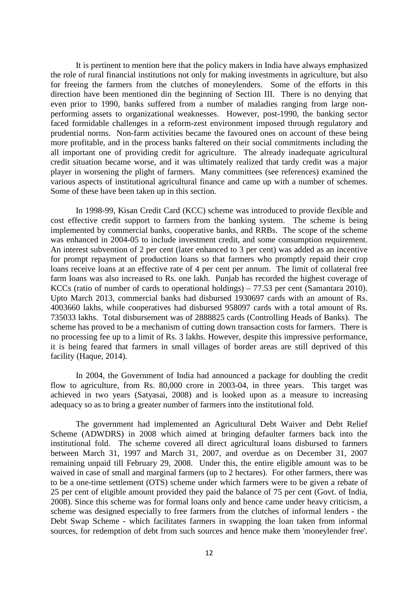It is pertinent to mention here that the policy makers in India have always emphasized the role of rural financial institutions not only for making investments in agriculture, but also for freeing the farmers from the clutches of moneylenders. Some of the efforts in this direction have been mentioned din the beginning of Section III. There is no denying that even prior to 1990, banks suffered from a number of maladies ranging from large nonperforming assets to organizational weaknesses. However, post-1990, the banking sector faced formidable challenges in a reform-zest environment imposed through regulatory and prudential norms. Non-farm activities became the favoured ones on account of these being more profitable, and in the process banks faltered on their social commitments including the all important one of providing credit for agriculture. The already inadequate agricultural credit situation became worse, and it was ultimately realized that tardy credit was a major player in worsening the plight of farmers. Many committees (see references) examined the various aspects of institutional agricultural finance and came up with a number of schemes. Some of these have been taken up in this section.

 In 1998-99, Kisan Credit Card (KCC) scheme was introduced to provide flexible and cost effective credit support to farmers from the banking system. The scheme is being implemented by commercial banks, cooperative banks, and RRBs. The scope of the scheme was enhanced in 2004-05 to include investment credit, and some consumption requirement. An interest subvention of 2 per cent (later enhanced to 3 per cent) was added as an incentive for prompt repayment of production loans so that farmers who promptly repaid their crop loans receive loans at an effective rate of 4 per cent per annum. The limit of collateral free farm loans was also increased to Rs. one lakh. Punjab has recorded the highest coverage of KCCs (ratio of number of cards to operational holdings) – 77.53 per cent (Samantara 2010). Upto March 2013, commercial banks had disbursed 1930697 cards with an amount of Rs. 4003660 lakhs, while cooperatives had disbursed 958097 cards with a total amount of Rs. 735033 lakhs. Total disbursement was of 2888825 cards (Controlling Heads of Banks). The scheme has proved to be a mechanism of cutting down transaction costs for farmers. There is no processing fee up to a limit of Rs. 3 lakhs. However, despite this impressive performance, it is being feared that farmers in small villages of border areas are still deprived of this facility (Haque, 2014).

 In 2004, the Government of India had announced a package for doubling the credit flow to agriculture, from Rs. 80,000 crore in 2003-04, in three years. This target was achieved in two years (Satyasai, 2008) and is looked upon as a measure to increasing adequacy so as to bring a greater number of farmers into the institutional fold.

 The government had implemented an Agricultural Debt Waiver and Debt Relief Scheme (ADWDRS) in 2008 which aimed at bringing defaulter farmers back into the institutional fold. The scheme covered all direct agricultural loans disbursed to farmers between March 31, 1997 and March 31, 2007, and overdue as on December 31, 2007 remaining unpaid till February 29, 2008. Under this, the entire eligible amount was to be waived in case of small and marginal farmers (up to 2 hectares). For other farmers, there was to be a one-time settlement (OTS) scheme under which farmers were to be given a rebate of 25 per cent of eligible amount provided they paid the balance of 75 per cent (Govt. of India, 2008). Since this scheme was for formal loans only and hence came under heavy criticism, a scheme was designed especially to free farmers from the clutches of informal lenders - the Debt Swap Scheme - which facilitates farmers in swapping the loan taken from informal sources, for redemption of debt from such sources and hence make them 'moneylender free'.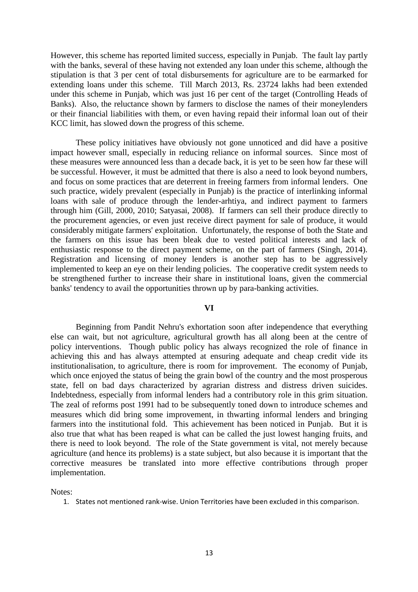However, this scheme has reported limited success, especially in Punjab. The fault lay partly with the banks, several of these having not extended any loan under this scheme, although the stipulation is that 3 per cent of total disbursements for agriculture are to be earmarked for extending loans under this scheme. Till March 2013, Rs. 23724 lakhs had been extended under this scheme in Punjab, which was just 16 per cent of the target (Controlling Heads of Banks). Also, the reluctance shown by farmers to disclose the names of their moneylenders or their financial liabilities with them, or even having repaid their informal loan out of their KCC limit, has slowed down the progress of this scheme.

 These policy initiatives have obviously not gone unnoticed and did have a positive impact however small, especially in reducing reliance on informal sources. Since most of these measures were announced less than a decade back, it is yet to be seen how far these will be successful. However, it must be admitted that there is also a need to look beyond numbers, and focus on some practices that are deterrent in freeing farmers from informal lenders. One such practice, widely prevalent (especially in Punjab) is the practice of interlinking informal loans with sale of produce through the lender-arhtiya, and indirect payment to farmers through him (Gill, 2000, 2010; Satyasai, 2008). If farmers can sell their produce directly to the procurement agencies, or even just receive direct payment for sale of produce, it would considerably mitigate farmers' exploitation. Unfortunately, the response of both the State and the farmers on this issue has been bleak due to vested political interests and lack of enthusiastic response to the direct payment scheme, on the part of farmers (Singh, 2014). Registration and licensing of money lenders is another step has to be aggressively implemented to keep an eye on their lending policies. The cooperative credit system needs to be strengthened further to increase their share in institutional loans, given the commercial banks' tendency to avail the opportunities thrown up by para-banking activities.

#### **VI**

 Beginning from Pandit Nehru's exhortation soon after independence that everything else can wait, but not agriculture, agricultural growth has all along been at the centre of policy interventions. Though public policy has always recognized the role of finance in achieving this and has always attempted at ensuring adequate and cheap credit vide its institutionalisation, to agriculture, there is room for improvement. The economy of Punjab, which once enjoyed the status of being the grain bowl of the country and the most prosperous state, fell on bad days characterized by agrarian distress and distress driven suicides. Indebtedness, especially from informal lenders had a contributory role in this grim situation. The zeal of reforms post 1991 had to be subsequently toned down to introduce schemes and measures which did bring some improvement, in thwarting informal lenders and bringing farmers into the institutional fold. This achievement has been noticed in Punjab. But it is also true that what has been reaped is what can be called the just lowest hanging fruits, and there is need to look beyond. The role of the State government is vital, not merely because agriculture (and hence its problems) is a state subject, but also because it is important that the corrective measures be translated into more effective contributions through proper implementation.

Notes:

1. States not mentioned rank-wise. Union Territories have been excluded in this comparison.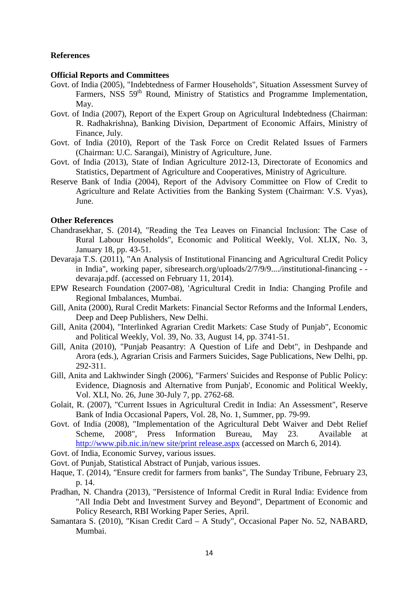## **References**

### **Official Reports and Committees**

- Govt. of India (2005), "Indebtedness of Farmer Households", Situation Assessment Survey of Farmers, NSS 59<sup>th</sup> Round, Ministry of Statistics and Programme Implementation, May.
- Govt. of India (2007), Report of the Expert Group on Agricultural Indebtedness (Chairman: R. Radhakrishna), Banking Division, Department of Economic Affairs, Ministry of Finance, July.
- Govt. of India (2010), Report of the Task Force on Credit Related Issues of Farmers (Chairman: U.C. Sarangai), Ministry of Agriculture, June.
- Govt. of India (2013), State of Indian Agriculture 2012-13, Directorate of Economics and Statistics, Department of Agriculture and Cooperatives, Ministry of Agriculture.
- Reserve Bank of India (2004), Report of the Advisory Committee on Flow of Credit to Agriculture and Relate Activities from the Banking System (Chairman: V.S. Vyas), June.

## **Other References**

- Chandrasekhar, S. (2014), "Reading the Tea Leaves on Financial Inclusion: The Case of Rural Labour Households", Economic and Political Weekly, Vol. XLIX, No. 3, January 18, pp. 43-51.
- Devaraja T.S. (2011), "An Analysis of Institutional Financing and Agricultural Credit Policy in India", working paper, sibresearch.org/uploads/2/7/9/9..../institutional-financing - devaraja.pdf. (accessed on February 11, 2014).
- EPW Research Foundation (2007-08), 'Agricultural Credit in India: Changing Profile and Regional Imbalances, Mumbai.
- Gill, Anita (2000), Rural Credit Markets: Financial Sector Reforms and the Informal Lenders, Deep and Deep Publishers, New Delhi.
- Gill, Anita (2004), "Interlinked Agrarian Credit Markets: Case Study of Punjab", Economic and Political Weekly, Vol. 39, No. 33, August 14, pp. 3741-51.
- Gill, Anita (2010), "Punjab Peasantry: A Question of Life and Debt", in Deshpande and Arora (eds.), Agrarian Crisis and Farmers Suicides, Sage Publications, New Delhi, pp. 292-311.
- Gill, Anita and Lakhwinder Singh (2006), "Farmers' Suicides and Response of Public Policy: Evidence, Diagnosis and Alternative from Punjab', Economic and Political Weekly, Vol. XLI, No. 26, June 30-July 7, pp. 2762-68.
- Golait, R. (2007), "Current Issues in Agricultural Credit in India: An Assessment", Reserve Bank of India Occasional Papers, Vol. 28, No. 1, Summer, pp. 79-99.
- Govt. of India (2008), "Implementation of the Agricultural Debt Waiver and Debt Relief Scheme, 2008", Press Information Bureau, May 23. Available at http://www.pib.nic.in/new site/print release.aspx (accessed on March 6, 2014).
- Govt. of India, Economic Survey, various issues.
- Govt. of Punjab, Statistical Abstract of Punjab, various issues.
- Haque, T. (2014), "Ensure credit for farmers from banks", The Sunday Tribune, February 23, p. 14.
- Pradhan, N. Chandra (2013), "Persistence of Informal Credit in Rural India: Evidence from "All India Debt and Investment Survey and Beyond", Department of Economic and Policy Research, RBI Working Paper Series, April.
- Samantara S. (2010), "Kisan Credit Card A Study", Occasional Paper No. 52, NABARD, Mumbai.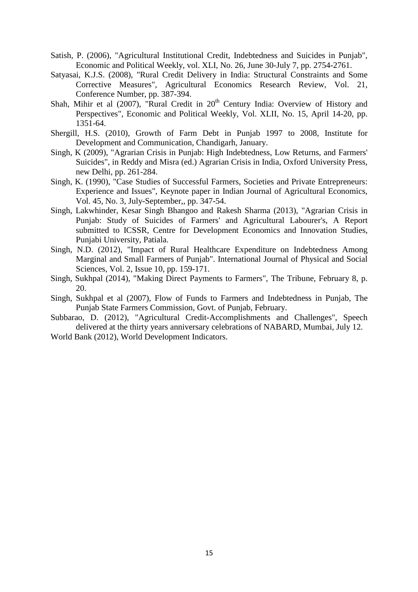- Satish, P. (2006), "Agricultural Institutional Credit, Indebtedness and Suicides in Punjab", Economic and Political Weekly, vol. XLI, No. 26, June 30-July 7, pp. 2754-2761.
- Satyasai, K.J.S. (2008), "Rural Credit Delivery in India: Structural Constraints and Some Corrective Measures", Agricultural Economics Research Review, Vol. 21, Conference Number, pp. 387-394.
- Shah, Mihir et al  $(2007)$ , "Rural Credit in  $20<sup>th</sup>$  Century India: Overview of History and Perspectives", Economic and Political Weekly, Vol. XLII, No. 15, April 14-20, pp. 1351-64.
- Shergill, H.S. (2010), Growth of Farm Debt in Punjab 1997 to 2008, Institute for Development and Communication, Chandigarh, January.
- Singh, K (2009), "Agrarian Crisis in Punjab: High Indebtedness, Low Returns, and Farmers' Suicides", in Reddy and Misra (ed.) Agrarian Crisis in India, Oxford University Press, new Delhi, pp. 261-284.
- Singh, K. (1990), "Case Studies of Successful Farmers, Societies and Private Entrepreneurs: Experience and Issues", Keynote paper in Indian Journal of Agricultural Economics, Vol. 45, No. 3, July-September,, pp. 347-54.
- Singh, Lakwhinder, Kesar Singh Bhangoo and Rakesh Sharma (2013), "Agrarian Crisis in Punjab: Study of Suicides of Farmers' and Agricultural Labourer's, A Report submitted to ICSSR, Centre for Development Economics and Innovation Studies, Punjabi University, Patiala.
- Singh, N.D. (2012), "Impact of Rural Healthcare Expenditure on Indebtedness Among Marginal and Small Farmers of Punjab". International Journal of Physical and Social Sciences, Vol. 2, Issue 10, pp. 159-171.
- Singh, Sukhpal (2014), "Making Direct Payments to Farmers", The Tribune, February 8, p. 20.
- Singh, Sukhpal et al (2007), Flow of Funds to Farmers and Indebtedness in Punjab, The Punjab State Farmers Commission, Govt. of Punjab, February.
- Subbarao, D. (2012), "Agricultural Credit-Accomplishments and Challenges", Speech delivered at the thirty years anniversary celebrations of NABARD, Mumbai, July 12.
- World Bank (2012), World Development Indicators.